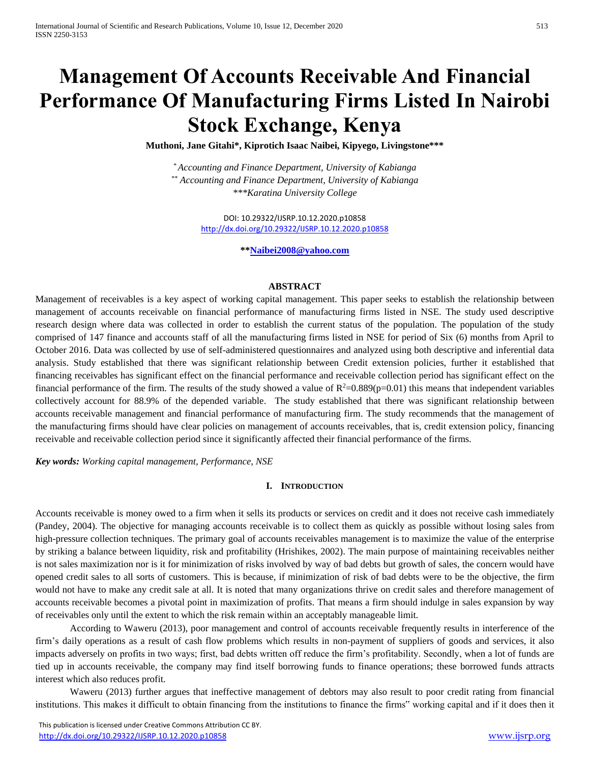# **Management Of Accounts Receivable And Financial Performance Of Manufacturing Firms Listed In Nairobi Stock Exchange, Kenya**

**Muthoni, Jane Gitahi\*, Kiprotich Isaac Naibei, Kipyego, Livingstone\*\*\***

*\* Accounting and Finance Department, University of Kabianga \*\* Accounting and Finance Department, University of Kabianga \*\*\*Karatina University College*

> DOI: 10.29322/IJSRP.10.12.2020.p10858 <http://dx.doi.org/10.29322/IJSRP.10.12.2020.p10858>

> > **\*[\\*Naibei2008@yahoo.com](mailto:Naibei2008@yahoo.com)**

#### **ABSTRACT**

Management of receivables is a key aspect of [working capital management.](http://kfknowledgebank.kaplan.co.uk/KFKB/Wiki%20Pages/Working%20capital%20management.aspx) This paper seeks to establish the relationship between management of accounts receivable on financial performance of manufacturing firms listed in NSE. The study used descriptive research design where data was collected in order to establish the current status of the population. The population of the study comprised of 147 finance and accounts staff of all the manufacturing firms listed in NSE for period of Six (6) months from April to October 2016. Data was collected by use of self-administered questionnaires and analyzed using both descriptive and inferential data analysis. Study established that there was significant relationship between Credit extension policies, further it established that financing receivables has significant effect on the financial performance and receivable collection period has significant effect on the financial performance of the firm. The results of the study showed a value of  $R^2=0.889(p=0.01)$  this means that independent variables collectively account for 88.9% of the depended variable. The study established that there was significant relationship between accounts receivable management and financial performance of manufacturing firm. The study recommends that the management of the manufacturing firms should have clear policies on management of accounts receivables, that is, credit extension policy, financing receivable and receivable collection period since it significantly affected their financial performance of the firms.

*Key words: Working capital management, Performance, NSE*

#### **I. INTRODUCTION**

Accounts receivable is money owed to a firm when it sells its products or services on credit and it does not receive cash immediately (Pandey, 2004). The objective for managing accounts receivable is to collect them as quickly as possible without losing sales from high-pressure collection techniques. The primary goal of accounts receivables management is to maximize the value of the enterprise by striking a balance between liquidity, risk and profitability (Hrishikes, 2002). The main purpose of maintaining receivables neither is not sales maximization nor is it for minimization of risks involved by way of bad debts but growth of sales, the concern would have opened credit sales to all sorts of customers. This is because, if minimization of risk of bad debts were to be the objective, the firm would not have to make any credit sale at all. It is noted that many organizations thrive on credit sales and therefore management of accounts receivable becomes a pivotal point in maximization of profits. That means a firm should indulge in sales expansion by way of receivables only until the extent to which the risk remain within an acceptably manageable limit.

According to Waweru (2013), poor management and control of accounts receivable frequently results in interference of the firm's daily operations as a result of cash flow problems which results in non-payment of suppliers of goods and services, it also impacts adversely on profits in two ways; first, bad debts written off reduce the firm's profitability. Secondly, when a lot of funds are tied up in accounts receivable, the company may find itself borrowing funds to finance operations; these borrowed funds attracts interest which also reduces profit.

Waweru (2013) further argues that ineffective management of debtors may also result to poor credit rating from financial institutions. This makes it difficult to obtain financing from the institutions to finance the firms" working capital and if it does then it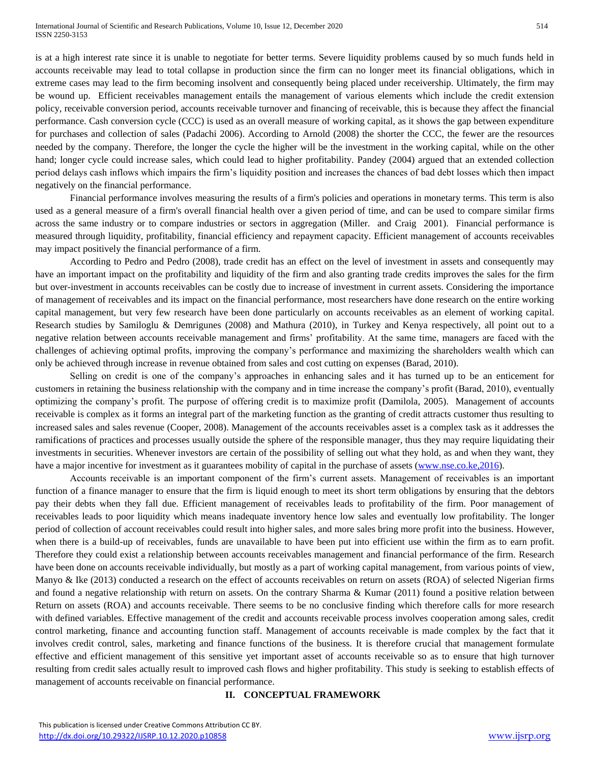is at a high interest rate since it is unable to negotiate for better terms. Severe liquidity problems caused by so much funds held in accounts receivable may lead to total collapse in production since the firm can no longer meet its financial obligations, which in extreme cases may lead to the firm becoming insolvent and consequently being placed under receivership. Ultimately, the firm may be wound up. Efficient receivables management entails the management of various elements which include the credit extension policy, receivable conversion period, accounts receivable turnover and financing of receivable, this is because they affect the financial performance. Cash conversion cycle (CCC) is used as an overall measure of working capital, as it shows the gap between expenditure for purchases and collection of sales (Padachi 2006). According to Arnold (2008) the shorter the CCC, the fewer are the resources needed by the company. Therefore, the longer the cycle the higher will be the investment in the working capital, while on the other hand; longer cycle could increase sales, which could lead to higher profitability. Pandey (2004) argued that an extended collection period delays cash inflows which impairs the firm's liquidity position and increases the chances of bad debt losses which then impact negatively on the financial performance.

Financial performance involves measuring the results of a firm's policies and operations in monetary terms. This term is also used as a general measure of a firm's overall financial health over a given period of time, and can be used to compare similar firms across the same industry or to compare industries or sectors in aggregation (Miller. and Craig 2001). Financial performance is measured through liquidity, profitability, financial efficiency and repayment capacity. Efficient management of accounts receivables may impact positively the financial performance of a firm.

According to Pedro and Pedro (2008), trade credit has an effect on the level of investment in assets and consequently may have an important impact on the profitability and liquidity of the firm and also granting trade credits improves the sales for the firm but over-investment in accounts receivables can be costly due to increase of investment in current assets. Considering the importance of management of receivables and its impact on the financial performance, most researchers have done research on the entire working capital management, but very few research have been done particularly on accounts receivables as an element of working capital. Research studies by Samiloglu & Demrigunes (2008) and Mathura (2010), in Turkey and Kenya respectively, all point out to a negative relation between accounts receivable management and firms' profitability. At the same time, managers are faced with the challenges of achieving optimal profits, improving the company's performance and maximizing the shareholders wealth which can only be achieved through increase in revenue obtained from sales and cost cutting on expenses (Barad, 2010).

Selling on credit is one of the company's approaches in enhancing sales and it has turned up to be an enticement for customers in retaining the business relationship with the company and in time increase the company's profit (Barad, 2010), eventually optimizing the company's profit. The purpose of offering credit is to maximize profit (Damilola, 2005). Management of accounts receivable is complex as it forms an integral part of the marketing function as the granting of credit attracts customer thus resulting to increased sales and sales revenue (Cooper, 2008). Management of the accounts receivables asset is a complex task as it addresses the ramifications of practices and processes usually outside the sphere of the responsible manager, thus they may require liquidating their investments in securities. Whenever investors are certain of the possibility of selling out what they hold, as and when they want, they have a major incentive for investment as it guarantees mobility of capital in the purchase of assets [\(www.nse.co.ke,2016\)](http://www.nse.co.ke,2016/).

Accounts receivable is an important component of the firm's current assets. Management of receivables is an important function of a finance manager to ensure that the firm is liquid enough to meet its short term obligations by ensuring that the debtors pay their debts when they fall due. Efficient management of receivables leads to profitability of the firm. Poor management of receivables leads to poor liquidity which means inadequate inventory hence low sales and eventually low profitability. The longer period of collection of account receivables could result into higher sales, and more sales bring more profit into the business. However, when there is a build-up of receivables, funds are unavailable to have been put into efficient use within the firm as to earn profit. Therefore they could exist a relationship between accounts receivables management and financial performance of the firm. Research have been done on accounts receivable individually, but mostly as a part of working capital management, from various points of view, Manyo & Ike (2013) conducted a research on the effect of accounts receivables on return on assets (ROA) of selected Nigerian firms and found a negative relationship with return on assets. On the contrary Sharma & Kumar (2011) found a positive relation between Return on assets (ROA) and accounts receivable. There seems to be no conclusive finding which therefore calls for more research with defined variables. Effective management of the credit and accounts receivable process involves cooperation among sales, credit control marketing, finance and accounting function staff. Management of accounts receivable is made complex by the fact that it involves credit control, sales, marketing and finance functions of the business. It is therefore crucial that management formulate effective and efficient management of this sensitive yet important asset of accounts receivable so as to ensure that high turnover resulting from credit sales actually result to improved cash flows and higher profitability. This study is seeking to establish effects of management of accounts receivable on financial performance.

#### **II. CONCEPTUAL FRAMEWORK**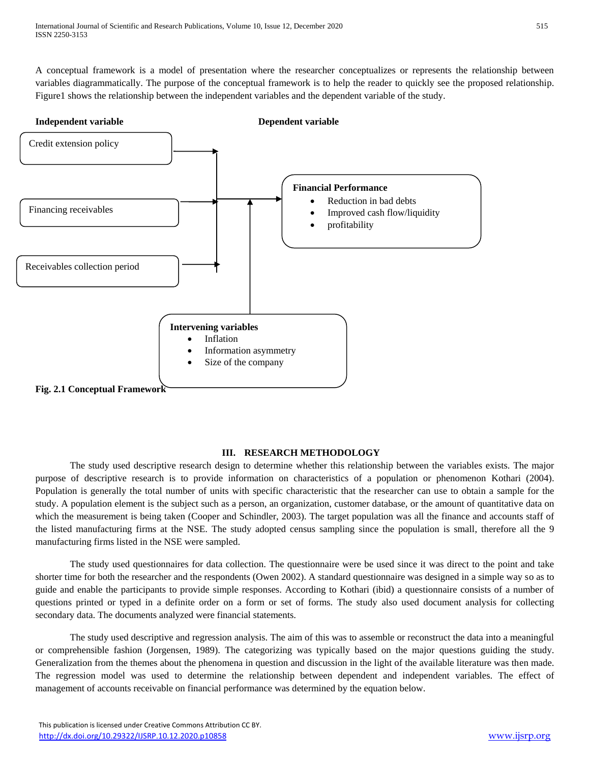A conceptual framework is a model of presentation where the researcher conceptualizes or represents the relationship between variables diagrammatically. The purpose of the conceptual framework is to help the reader to quickly see the proposed relationship. Figure1 shows the relationship between the independent variables and the dependent variable of the study.



# **III. RESEARCH METHODOLOGY**

The study used descriptive research design to determine whether this relationship between the variables exists. The major purpose of descriptive research is to provide information on characteristics of a population or phenomenon Kothari (2004). Population is generally the total number of units with specific characteristic that the researcher can use to obtain a sample for the study. A population element is the subject such as a person, an organization, customer database, or the amount of quantitative data on which the measurement is being taken (Cooper and Schindler, 2003). The target population was all the finance and accounts staff of the listed manufacturing firms at the NSE. The study adopted census sampling since the population is small, therefore all the 9 manufacturing firms listed in the NSE were sampled.

The study used questionnaires for data collection. The questionnaire were be used since it was direct to the point and take shorter time for both the researcher and the respondents (Owen 2002). A standard questionnaire was designed in a simple way so as to guide and enable the participants to provide simple responses. According to Kothari (ibid) a questionnaire consists of a number of questions printed or typed in a definite order on a form or set of forms. The study also used document analysis for collecting secondary data. The documents analyzed were financial statements.

The study used descriptive and regression analysis. The aim of this was to assemble or reconstruct the data into a meaningful or comprehensible fashion (Jorgensen, 1989). The categorizing was typically based on the major questions guiding the study. Generalization from the themes about the phenomena in question and discussion in the light of the available literature was then made. The regression model was used to determine the relationship between dependent and independent variables. The effect of management of accounts receivable on financial performance was determined by the equation below.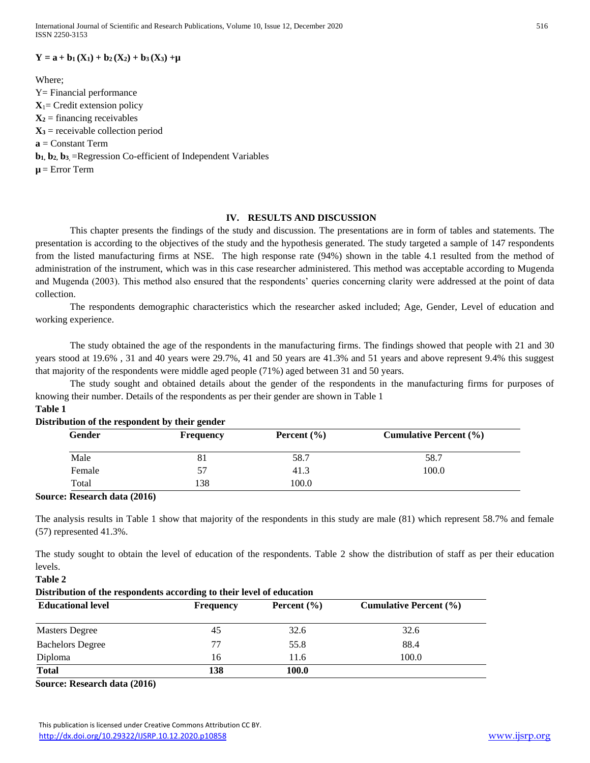International Journal of Scientific and Research Publications, Volume 10, Issue 12, December 2020 516 ISSN 2250-3153

#### $Y = a + b_1(X_1) + b_2(X_2) + b_3(X_3) + \mu$

Where; Y= Financial performance  $X_1$ = Credit extension policy  $X_2$  = financing receivables  $X_3$  = receivable collection period **a** = Constant Term **b1, b2, b<sup>3</sup>**, =Regression Co-efficient of Independent Variables  $\mu$  = Error Term

#### **IV. RESULTS AND DISCUSSION**

This chapter presents the findings of the study and discussion. The presentations are in form of tables and statements. The presentation is according to the objectives of the study and the hypothesis generated. The study targeted a sample of 147 respondents from the listed manufacturing firms at NSE. The high response rate (94%) shown in the table 4.1 resulted from the method of administration of the instrument, which was in this case researcher administered. This method was acceptable according to Mugenda and Mugenda (2003). This method also ensured that the respondents' queries concerning clarity were addressed at the point of data collection.

The respondents demographic characteristics which the researcher asked included; Age, Gender, Level of education and working experience.

The study obtained the age of the respondents in the manufacturing firms. The findings showed that people with 21 and 30 years stood at 19.6% , 31 and 40 years were 29.7%, 41 and 50 years are 41.3% and 51 years and above represent 9.4% this suggest that majority of the respondents were middle aged people (71%) aged between 31 and 50 years.

The study sought and obtained details about the gender of the respondents in the manufacturing firms for purposes of knowing their number. Details of the respondents as per their gender are shown in Table 1 **Table 1**

| <b>Gender</b> | <b>Frequency</b> | Percent $(\% )$ | <b>Cumulative Percent</b> (%) |
|---------------|------------------|-----------------|-------------------------------|
| Male          | 81               | 58.7            | 58.7                          |
| Female        |                  | 41.3            | 100.0                         |
| Total         | 138              | 100.0           |                               |

# **Distribution of the respondent by their gender**

#### **Source: Research data (2016)**

**Table 2**

The analysis results in Table 1 show that majority of the respondents in this study are male (81) which represent 58.7% and female (57) represented 41.3%.

The study sought to obtain the level of education of the respondents. Table 2 show the distribution of staff as per their education levels.

**Distribution of the respondents according to their level of education Educational level Frequency Percent (%) Cumulative Percent (%)** Masters Degree 45 32.6 32.6 32.6 Bachelors Degree 77 55.8 88.4 Diploma 16 11.6 100.0 **Total 138 100.0**

**Source: Research data (2016)**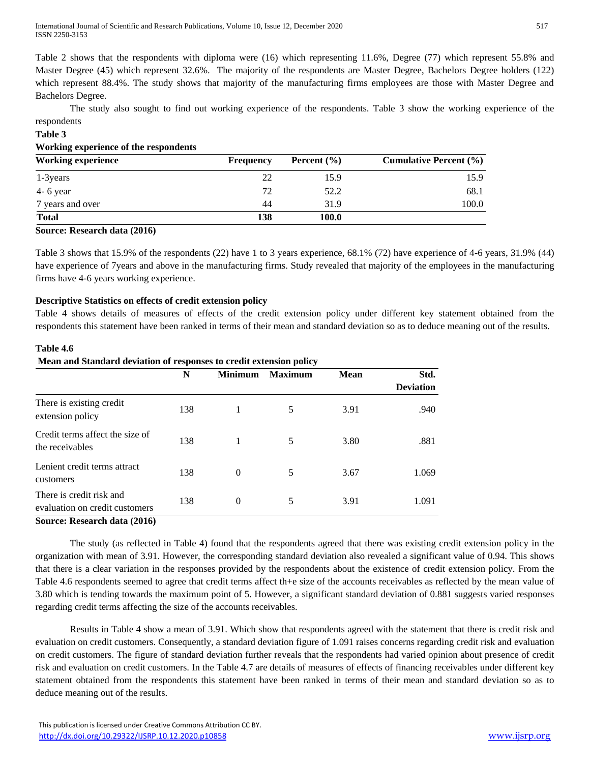Table 2 shows that the respondents with diploma were (16) which representing 11.6%, Degree (77) which represent 55.8% and Master Degree (45) which represent 32.6%. The majority of the respondents are Master Degree, Bachelors Degree holders (122) which represent 88.4%. The study shows that majority of the manufacturing firms employees are those with Master Degree and Bachelors Degree.

The study also sought to find out working experience of the respondents. Table 3 show the working experience of the respondents

# **Table 3**

**Table 4.6**

#### **Working experience of the respondents**

| <b>Working experience</b> | <b>Frequency</b> | Percent $(\% )$ | <b>Cumulative Percent (%)</b> |
|---------------------------|------------------|-----------------|-------------------------------|
| 1-3 years                 | 22               | 15.9            | 15.9                          |
| $4 - 6$ year              | 72               | 52.2            | 68.1                          |
| 7 years and over          | 44               | 31.9            | 100.0                         |
| <b>Total</b>              | 138              | 100.0           |                               |

#### **Source: Research data (2016)**

Table 3 shows that 15.9% of the respondents (22) have 1 to 3 years experience, 68.1% (72) have experience of 4-6 years, 31.9% (44) have experience of 7years and above in the manufacturing firms. Study revealed that majority of the employees in the manufacturing firms have 4-6 years working experience.

# **Descriptive Statistics on effects of credit extension policy**

Table 4 shows details of measures of effects of the credit extension policy under different key statement obtained from the respondents this statement have been ranked in terms of their mean and standard deviation so as to deduce meaning out of the results.

|                                                            | N   | <b>Minimum</b> | <b>Maximum</b> | <b>Mean</b> | Std.             |
|------------------------------------------------------------|-----|----------------|----------------|-------------|------------------|
|                                                            |     |                |                |             | <b>Deviation</b> |
| There is existing credit<br>extension policy               | 138 |                | 5              | 3.91        | .940             |
| Credit terms affect the size of<br>the receivables         | 138 |                | 5              | 3.80        | .881             |
| Lenient credit terms attract<br>customers                  | 138 | $\Omega$       | 5              | 3.67        | 1.069            |
| There is credit risk and<br>evaluation on credit customers | 138 | $\Omega$       | 5              | 3.91        | 1.091            |

# **Mean and Standard deviation of responses to credit extension policy**

The study (as reflected in Table 4) found that the respondents agreed that there was existing credit extension policy in the organization with mean of 3.91. However, the corresponding standard deviation also revealed a significant value of 0.94. This shows that there is a clear variation in the responses provided by the respondents about the existence of credit extension policy. From the Table 4.6 respondents seemed to agree that credit terms affect th+e size of the accounts receivables as reflected by the mean value of 3.80 which is tending towards the maximum point of 5. However, a significant standard deviation of 0.881 suggests varied responses regarding credit terms affecting the size of the accounts receivables.

Results in Table 4 show a mean of 3.91. Which show that respondents agreed with the statement that there is credit risk and evaluation on credit customers. Consequently, a standard deviation figure of 1.091 raises concerns regarding credit risk and evaluation on credit customers. The figure of standard deviation further reveals that the respondents had varied opinion about presence of credit risk and evaluation on credit customers. In the Table 4.7 are details of measures of effects of financing receivables under different key statement obtained from the respondents this statement have been ranked in terms of their mean and standard deviation so as to deduce meaning out of the results.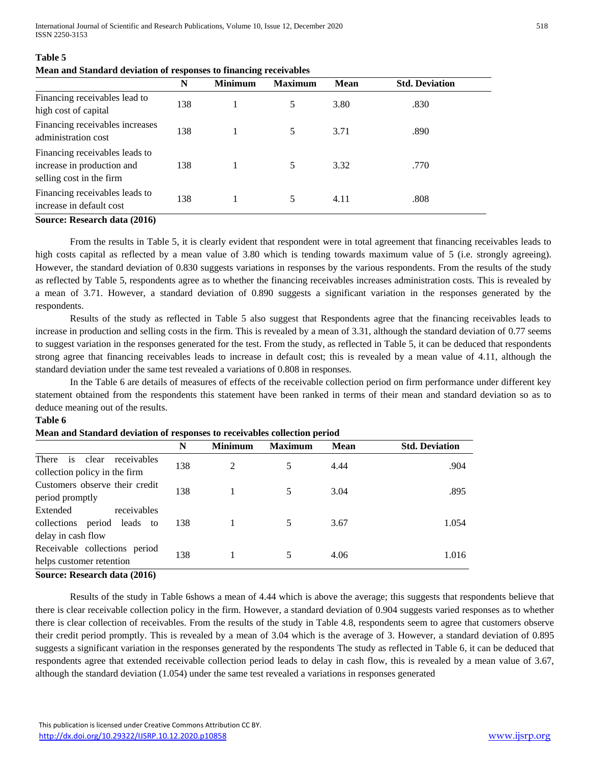International Journal of Scientific and Research Publications, Volume 10, Issue 12, December 2020 518 ISSN 2250-3153

|                                                                                          | N   | <b>Minimum</b> | <b>Maximum</b> | <b>Mean</b> | <b>Std. Deviation</b> |
|------------------------------------------------------------------------------------------|-----|----------------|----------------|-------------|-----------------------|
| Financing receivables lead to<br>high cost of capital                                    | 138 |                | 5              | 3.80        | .830                  |
| Financing receivables increases<br>administration cost                                   | 138 |                | 5              | 3.71        | .890                  |
| Financing receivables leads to<br>increase in production and<br>selling cost in the firm | 138 |                | 5.             | 3.32        | .770                  |
| Financing receivables leads to<br>increase in default cost                               | 138 |                | 5              | 4.11        | .808                  |

#### **Table 5**

#### **Mean and Standard deviation of responses to financing receivables**

#### **Source: Research data (2016)**

From the results in Table 5, it is clearly evident that respondent were in total agreement that financing receivables leads to high costs capital as reflected by a mean value of 3.80 which is tending towards maximum value of 5 (i.e. strongly agreeing). However, the standard deviation of 0.830 suggests variations in responses by the various respondents. From the results of the study as reflected by Table 5, respondents agree as to whether the financing receivables increases administration costs. This is revealed by a mean of 3.71. However, a standard deviation of 0.890 suggests a significant variation in the responses generated by the respondents.

Results of the study as reflected in Table 5 also suggest that Respondents agree that the financing receivables leads to increase in production and selling costs in the firm. This is revealed by a mean of 3.31, although the standard deviation of 0.77 seems to suggest variation in the responses generated for the test. From the study, as reflected in Table 5, it can be deduced that respondents strong agree that financing receivables leads to increase in default cost; this is revealed by a mean value of 4.11, although the standard deviation under the same test revealed a variations of 0.808 in responses.

In the Table 6 are details of measures of effects of the receivable collection period on firm performance under different key statement obtained from the respondents this statement have been ranked in terms of their mean and standard deviation so as to deduce meaning out of the results.

#### **Table 6**

|                                                                              | N   | <b>Minimum</b> | <b>Maximum</b> | <b>Mean</b> | <b>Std. Deviation</b> |
|------------------------------------------------------------------------------|-----|----------------|----------------|-------------|-----------------------|
| There<br>clear<br>receivables<br>is<br>collection policy in the firm         | 138 | 2              |                | 4.44        | .904                  |
| Customers observe their credit<br>period promptly                            | 138 |                |                | 3.04        | .895                  |
| Extended<br>receivables<br>collections period leads to<br>delay in cash flow | 138 |                | 5              | 3.67        | 1.054                 |
| Receivable collections period<br>helps customer retention                    | 138 |                |                | 4.06        | 1.016                 |

#### **Mean and Standard deviation of responses to receivables collection period**

#### **Source: Research data (2016)**

Results of the study in Table 6shows a mean of 4.44 which is above the average; this suggests that respondents believe that there is clear receivable collection policy in the firm. However, a standard deviation of 0.904 suggests varied responses as to whether there is clear collection of receivables. From the results of the study in Table 4.8, respondents seem to agree that customers observe their credit period promptly. This is revealed by a mean of 3.04 which is the average of 3. However, a standard deviation of 0.895 suggests a significant variation in the responses generated by the respondents The study as reflected in Table 6, it can be deduced that respondents agree that extended receivable collection period leads to delay in cash flow, this is revealed by a mean value of 3.67, although the standard deviation (1.054) under the same test revealed a variations in responses generated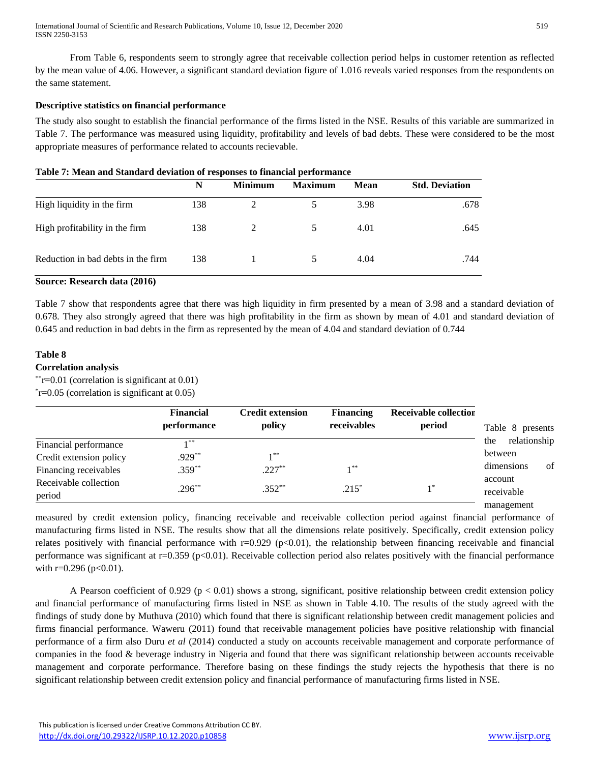From Table 6, respondents seem to strongly agree that receivable collection period helps in customer retention as reflected by the mean value of 4.06. However, a significant standard deviation figure of 1.016 reveals varied responses from the respondents on the same statement.

# **Descriptive statistics on financial performance**

The study also sought to establish the financial performance of the firms listed in the NSE. Results of this variable are summarized in Table 7. The performance was measured using liquidity, profitability and levels of bad debts. These were considered to be the most appropriate measures of performance related to accounts recievable.

| Table 7: Mean and Standard deviation of responses to financial performance |  |  |
|----------------------------------------------------------------------------|--|--|
|----------------------------------------------------------------------------|--|--|

|                                    | N   | <b>Minimum</b> | <b>Maximum</b> | <b>Mean</b> | <b>Std. Deviation</b> |
|------------------------------------|-----|----------------|----------------|-------------|-----------------------|
| High liquidity in the firm         | 138 |                |                | 3.98        | .678                  |
| High profitability in the firm     | 138 | $\mathcal{L}$  | 5              | 4.01        | .645                  |
| Reduction in bad debts in the firm | 138 |                | 5              | 4.04        | .744                  |

#### **Source: Research data (2016)**

Table 7 show that respondents agree that there was high liquidity in firm presented by a mean of 3.98 and a standard deviation of 0.678. They also strongly agreed that there was high profitability in the firm as shown by mean of 4.01 and standard deviation of 0.645 and reduction in bad debts in the firm as represented by the mean of 4.04 and standard deviation of 0.744

# **Table 8**

# **Correlation analysis**

\*\*r=0.01 (correlation is significant at 0.01) \* r=0.05 (correlation is significant at 0.05)

|                         | <b>Financial</b><br>performance | <b>Credit extension</b><br>policy | <b>Financing</b><br>receivables | <b>Receivable collection</b><br>period | Table 8 presents    |
|-------------------------|---------------------------------|-----------------------------------|---------------------------------|----------------------------------------|---------------------|
| Financial performance   | 1 **                            |                                   |                                 |                                        | relationship<br>the |
| Credit extension policy | $.929**$                        | $1 * *$                           |                                 |                                        | between             |
| Financing receivables   | $.359**$                        | $.227**$                          | $1**$                           |                                        | of<br>dimensions    |
| Receivable collection   |                                 |                                   |                                 |                                        | account             |
| period                  | $.296**$                        | $.352**$                          | $.215*$                         |                                        | receivable          |
|                         |                                 |                                   |                                 |                                        | management          |

measured by credit extension policy, financing receivable and receivable collection period against financial performance of manufacturing firms listed in NSE. The results show that all the dimensions relate positively. Specifically, credit extension policy relates positively with financial performance with  $r=0.929$  (p<0.01), the relationship between financing receivable and financial performance was significant at r=0.359 (p<0.01). Receivable collection period also relates positively with the financial performance with  $r=0.296$  ( $p<0.01$ ).

A Pearson coefficient of 0.929 ( $p < 0.01$ ) shows a strong, significant, positive relationship between credit extension policy and financial performance of manufacturing firms listed in NSE as shown in Table 4.10. The results of the study agreed with the findings of study done by Muthuva (2010) which found that there is significant relationship between credit management policies and firms financial performance. Waweru (2011) found that receivable management policies have positive relationship with financial performance of a firm also Duru *et al* (2014) conducted a study on accounts receivable management and corporate performance of companies in the food & beverage industry in Nigeria and found that there was significant relationship between accounts receivable management and corporate performance. Therefore basing on these findings the study rejects the hypothesis that there is no significant relationship between credit extension policy and financial performance of manufacturing firms listed in NSE.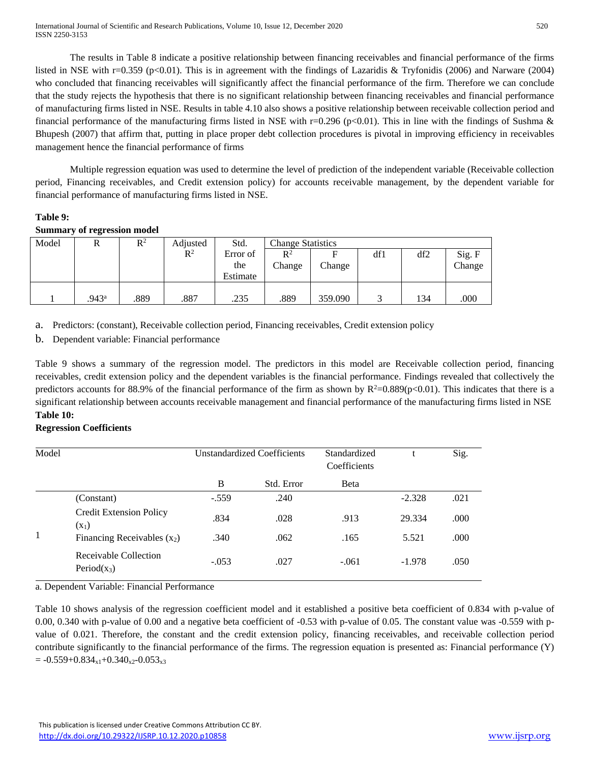The results in Table 8 indicate a positive relationship between financing receivables and financial performance of the firms listed in NSE with r=0.359 (p<0.01). This is in agreement with the findings of Lazaridis & Tryfonidis (2006) and Narware (2004) who concluded that financing receivables will significantly affect the financial performance of the firm. Therefore we can conclude that the study rejects the hypothesis that there is no significant relationship between financing receivables and financial performance of manufacturing firms listed in NSE. Results in table 4.10 also shows a positive relationship between receivable collection period and financial performance of the manufacturing firms listed in NSE with r=0.296 (p<0.01). This in line with the findings of Sushma & Bhupesh (2007) that affirm that, putting in place proper debt collection procedures is pivotal in improving efficiency in receivables management hence the financial performance of firms

Multiple regression equation was used to determine the level of prediction of the independent variable (Receivable collection period, Financing receivables, and Credit extension policy) for accounts receivable management, by the dependent variable for financial performance of manufacturing firms listed in NSE.

# **Table 9:**

# **Summary of regression model**

| Model |                   | $\mathbb{R}^2$ | Adjusted       | Std.     | <b>Change Statistics</b> |         |     |     |        |
|-------|-------------------|----------------|----------------|----------|--------------------------|---------|-----|-----|--------|
|       |                   |                | $\mathbb{R}^2$ | Error of | $\mathbb{R}^2$           | E       | df1 | df2 | Sig. F |
|       |                   |                |                | the      | Change                   | Change  |     |     | Change |
|       |                   |                |                | Estimate |                          |         |     |     |        |
|       |                   |                |                |          |                          |         |     |     |        |
|       | .943 <sup>a</sup> | .889           | .887           | .235     | .889                     | 359.090 |     | 134 | .000   |

a. Predictors: (constant), Receivable collection period, Financing receivables, Credit extension policy

b. Dependent variable: Financial performance

Table 9 shows a summary of the regression model. The predictors in this model are Receivable collection period, financing receivables, credit extension policy and the dependent variables is the financial performance. Findings revealed that collectively the predictors accounts for 88.9% of the financial performance of the firm as shown by  $R^2=0.889(p<0.01)$ . This indicates that there is a significant relationship between accounts receivable management and financial performance of the manufacturing firms listed in NSE **Table 10:** 

# **Regression Coefficients**

| Model |                                           | <b>Unstandardized Coefficients</b> |            | Standardized<br>Coefficients |          | Sig. |
|-------|-------------------------------------------|------------------------------------|------------|------------------------------|----------|------|
|       |                                           | B                                  | Std. Error | Beta                         |          |      |
|       | (Constant)                                | $-.559$                            | .240       |                              | $-2.328$ | .021 |
|       | <b>Credit Extension Policy</b><br>$(X_1)$ | .834                               | .028       | .913                         | 29.334   | .000 |
| 1     | Financing Receivables $(x_2)$             | .340                               | .062       | .165                         | 5.521    | .000 |
|       | Receivable Collection<br>Period $(x_3)$   | $-.053$                            | .027       | $-.061$                      | $-1.978$ | .050 |

a. Dependent Variable: Financial Performance

Table 10 shows analysis of the regression coefficient model and it established a positive beta coefficient of 0.834 with p-value of 0.00, 0.340 with p-value of 0.00 and a negative beta coefficient of -0.53 with p-value of 0.05. The constant value was -0.559 with pvalue of 0.021. Therefore, the constant and the credit extension policy, financing receivables, and receivable collection period contribute significantly to the financial performance of the firms. The regression equation is presented as: Financial performance (Y)  $= -0.559+0.834_{x1}+0.340_{x2}-0.053_{x3}$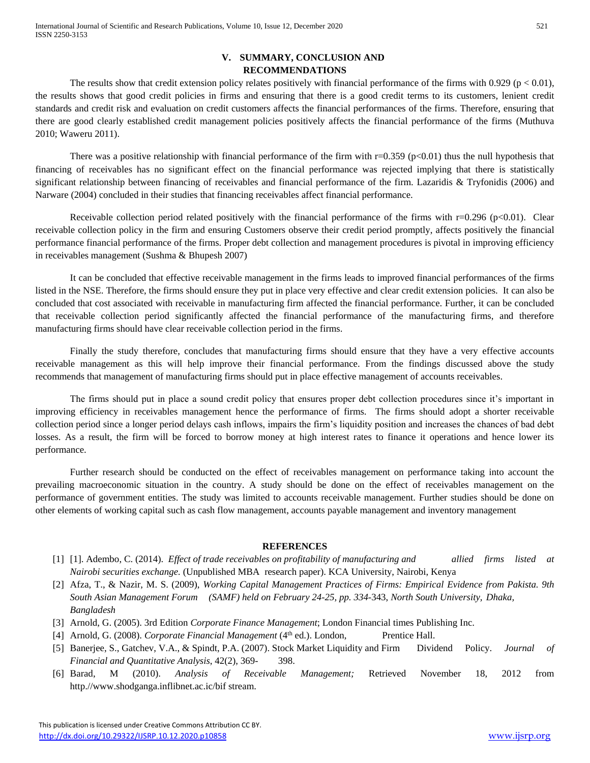# **V. SUMMARY, CONCLUSION AND RECOMMENDATIONS**

The results show that credit extension policy relates positively with financial performance of the firms with 0.929 ( $p < 0.01$ ), the results shows that good credit policies in firms and ensuring that there is a good credit terms to its customers, lenient credit standards and credit risk and evaluation on credit customers affects the financial performances of the firms. Therefore, ensuring that there are good clearly established credit management policies positively affects the financial performance of the firms (Muthuva 2010; Waweru 2011).

There was a positive relationship with financial performance of the firm with  $r=0.359$  (p<0.01) thus the null hypothesis that financing of receivables has no significant effect on the financial performance was rejected implying that there is statistically significant relationship between financing of receivables and financial performance of the firm. Lazaridis & Tryfonidis (2006) and Narware (2004) concluded in their studies that financing receivables affect financial performance.

Receivable collection period related positively with the financial performance of the firms with  $r=0.296$  (p $<0.01$ ). Clear receivable collection policy in the firm and ensuring Customers observe their credit period promptly, affects positively the financial performance financial performance of the firms. Proper debt collection and management procedures is pivotal in improving efficiency in receivables management (Sushma & Bhupesh 2007)

It can be concluded that effective receivable management in the firms leads to improved financial performances of the firms listed in the NSE. Therefore, the firms should ensure they put in place very effective and clear credit extension policies. It can also be concluded that cost associated with receivable in manufacturing firm affected the financial performance. Further, it can be concluded that receivable collection period significantly affected the financial performance of the manufacturing firms, and therefore manufacturing firms should have clear receivable collection period in the firms.

Finally the study therefore, concludes that manufacturing firms should ensure that they have a very effective accounts receivable management as this will help improve their financial performance. From the findings discussed above the study recommends that management of manufacturing firms should put in place effective management of accounts receivables.

The firms should put in place a sound credit policy that ensures proper debt collection procedures since it's important in improving efficiency in receivables management hence the performance of firms. The firms should adopt a shorter receivable collection period since a longer period delays cash inflows, impairs the firm's liquidity position and increases the chances of bad debt losses. As a result, the firm will be forced to borrow money at high interest rates to finance it operations and hence lower its performance.

Further research should be conducted on the effect of receivables management on performance taking into account the prevailing macroeconomic situation in the country. A study should be done on the effect of receivables management on the performance of government entities. The study was limited to accounts receivable management. Further studies should be done on other elements of working capital such as cash flow management, accounts payable management and inventory management

# **REFERENCES**

- [1] [1]. Adembo, C. (2014). *Effect of trade receivables on profitability of manufacturing and allied firms listed at Nairobi securities exchange.* (Unpublished MBA research paper). KCA University, Nairobi, Kenya
- [2] Afza, T., & Nazir, M. S. (2009), *Working Capital Management Practices of Firms: Empirical Evidence from Pakista. 9th South Asian Management Forum (SAMF) held on February 24-25, pp. 334-*343, *North South University, Dhaka, Bangladesh*
- [3] Arnold, G. (2005). 3rd Edition *Corporate Finance Management*; London Financial times Publishing Inc.
- [4] Arnold, G. (2008). *Corporate Financial Management* (4<sup>th</sup> ed.). London, Prentice Hall.
- [5] Banerjee, S., Gatchev, V.A., & Spindt, P.A. (2007). Stock Market Liquidity and Firm Dividend Policy. *Journal of Financial and Quantitative Analysis*, 42(2), 369- 398.
- [6] Barad, M (2010). *Analysis of Receivable Management;* Retrieved November 18, 2012 from http.//www.shodganga.inflibnet.ac.ic/bif stream.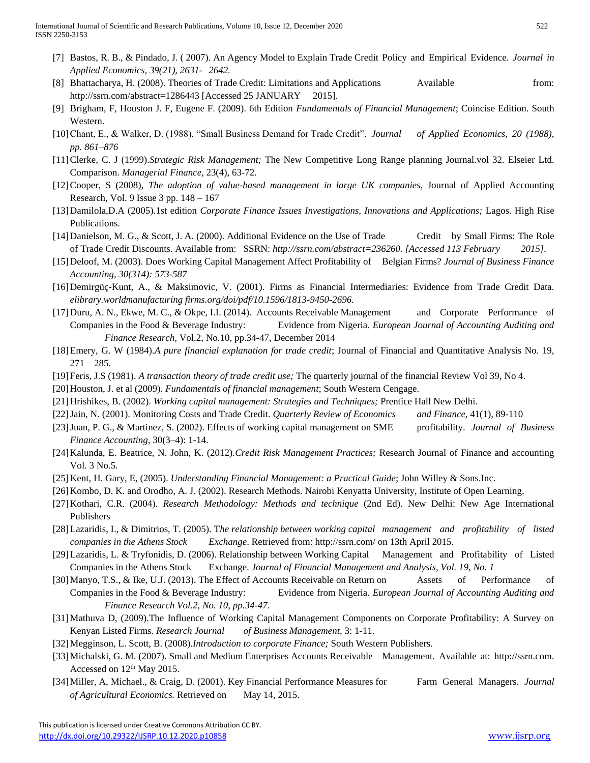- [7] Bastos, R. B., & Pindado, J. ( 2007). An Agency Model to Explain Trade Credit Policy and Empirical Evidence. *Journal in Applied Economics, 39(21), 2631- 2642.*
- [8] Bhattacharya, H. (2008). Theories of Trade Credit: Limitations and Applications Available from: http://ssrn.com/abstract=1286443 [Accessed 25 JANUARY 2015].
- [9] Brigham, F, Houston J. F, Eugene F. (2009). 6th Edition *Fundamentals of Financial Management*; Coincise Edition. South Western.
- [10]Chant, E., & Walker, D. (1988). "Small Business Demand for Trade Credit". *Journal of Applied Economics, 20 (1988), pp. 861–876*
- [11]Clerke, C. J (1999).*Strategic Risk Management;* The New Competitive Long Range planning Journal.vol 32. Elseier Ltd. Comparison. *Managerial Finance*, 23(4), 63-72.
- [12]Cooper, S (2008), *The adoption of value-based management in large UK companies*, Journal of Applied Accounting Research, Vol. 9 Issue 3 pp. 148 – 167
- [13]Damilola,D.A (2005).1st edition *Corporate Finance Issues Investigations, Innovations and Applications;* Lagos. High Rise Publications.
- [14]Danielson, M. G., & Scott, J. A. (2000). Additional Evidence on the Use of Trade Credit by Small Firms: The Role of Trade Credit Discounts. Available from: SSRN: *http://ssrn.com/abstract=236260. [Accessed 113 February 2015].*
- [15]Deloof, M. (2003). Does Working Capital Management Affect Profitability of Belgian Firms? *Journal of Business Finance Accounting, 30(314): 573-587*
- [16]Demirgüç-Kunt, A., & Maksimovic, V. (2001). Firms as Financial Intermediaries: Evidence from Trade Credit Data. *elibrary.worldmanufacturing firms.org/doi/pdf/10.1596/1813-9450-2696.*
- [17]Duru, A. N., Ekwe, M. C., & Okpe, I.I. (2014). Accounts Receivable Management and Corporate Performance of Companies in the Food & Beverage Industry: Evidence from Nigeria. *European Journal of Accounting Auditing and Finance Research,* Vol.2, No.10, pp.34-47, December 2014
- [18]Emery, G. W (1984).*A pure financial explanation for trade credit*; Journal of Financial and Quantitative Analysis No. 19,  $271 - 285.$
- [19]Feris, J.S (1981). *A transaction theory of trade credit use;* The quarterly journal of the financial Review Vol 39, No 4.
- [20]Houston, J. et al (2009). *Fundamentals of financial management*; South Western Cengage.
- [21]Hrishikes, B. (2002). *Working capital management: Strategies and Techniques;* Prentice Hall New Delhi.
- [22]Jain, N. (2001). Monitoring Costs and Trade Credit. *Quarterly Review of Economics and Finance*, 41(1), 89-110
- [23]Juan, P. G., & Martinez, S. (2002). Effects of working capital management on SME profitability. *Journal of Business Finance Accounting*, 30(3–4): 1-14.
- [24]Kalunda, E. Beatrice, N. John, K. (2012).*Credit Risk Management Practices;* Research Journal of Finance and accounting Vol. 3 No.5.
- [25]Kent, H. Gary, E, (2005). *Understanding Financial Management: a Practical Guide*; John Willey & Sons.Inc.
- [26] Kombo, D. K. and Orodho, A. J. (2002). Research Methods. Nairobi Kenyatta University, Institute of Open Learning.
- [27]Kothari, C.R. (2004). *Research Methodology: Methods and technique* (2nd Ed). New Delhi: New Age International Publishers
- [28]Lazaridis, I., & Dimitrios, T. (2005). T*he relationship between working capital management and profitability of listed companies in the Athens Stock Exchange*. Retrieved from: http://ssrn.com/ on 13th April 2015.
- [29]Lazaridis, L. & Tryfonidis, D. (2006). Relationship between Working Capital Management and Profitability of Listed Companies in the Athens Stock Exchange. *Journal of Financial Management and Analysis, Vol. 19, No. 1*
- [30] Manyo, T.S., & Ike, U.J. (2013). The Effect of Accounts Receivable on Return on Assets of Performance of Companies in the Food & Beverage Industry: Evidence from Nigeria. *European Journal of Accounting Auditing and Finance Research Vol.2, No. 10, pp.34-47.*
- [31]Mathuva D, (2009).The Influence of Working Capital Management Components on Corporate Profitability: A Survey on Kenyan Listed Firms. *Research Journal of Business Management,* 3: 1-11.
- [32]Megginson, L. Scott, B. (2008).*Introduction to corporate Finance;* South Western Publishers.
- [33]Michalski, G. M. (2007). Small and Medium Enterprises Accounts Receivable Management*.* Available at: http://ssrn.com. Accessed on  $12<sup>th</sup>$  May 2015.
- [34]Miller, A, Michael., & Craig, D. (2001). Key Financial Performance Measures for Farm General Managers. *Journal of Agricultural Economics.* Retrieved on May 14, 2015.